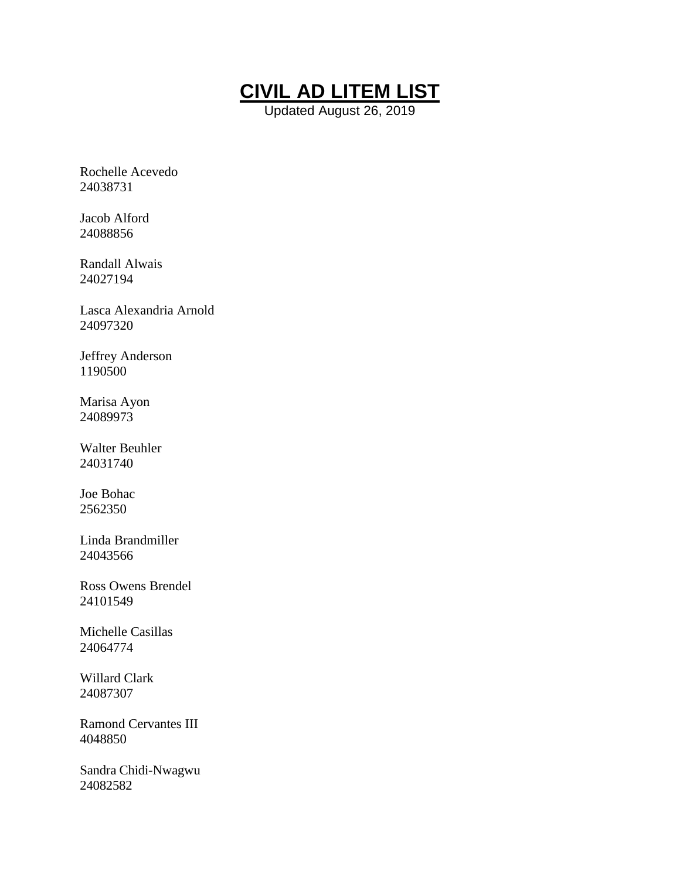

Updated August 26, 2019

Rochelle Acevedo 24038731

Jacob Alford 24088856

Randall Alwais 24027194

Lasca Alexandria Arnold 24097320

Jeffrey Anderson 1190500

Marisa Ayon 24089973

Walter Beuhler 24031740

Joe Bohac 2562350

Linda Brandmiller 24043566

Ross Owens Brendel 24101549

Michelle Casillas 24064774

Willard Clark 24087307

Ramond Cervantes III 4048850

Sandra Chidi-Nwagwu 24082582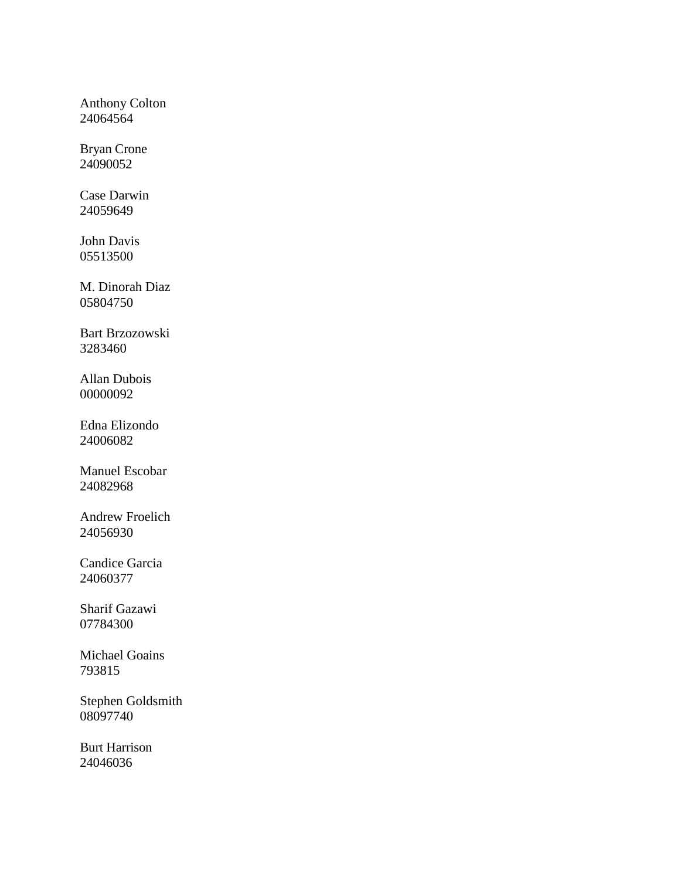Anthony Colton 24064564

Bryan Crone 24090052

Case Darwin 24059649

John Davis 05513500

M. Dinorah Diaz 05804750

Bart Brzozowski 3283460

Allan Dubois 00000092

Edna Elizondo 24006082

Manuel Escobar 24082968

Andrew Froelich 24056930

Candice Garcia 24060377

Sharif Gazawi 07784300

Michael Goains 793815

Stephen Goldsmith 08097740

Burt Harrison 24046036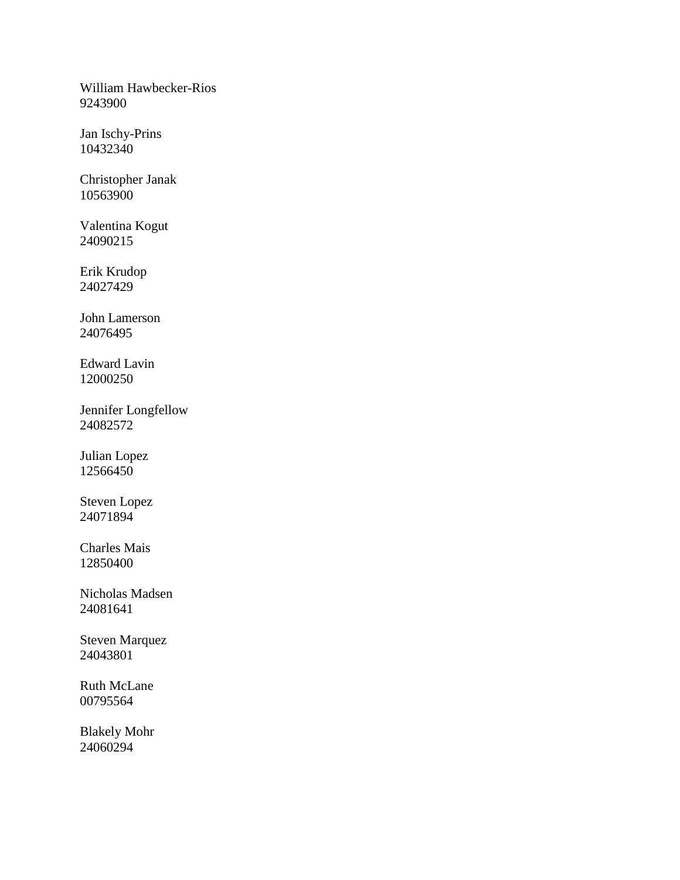William Hawbecker-Rios 9243900

Jan Ischy-Prins 10432340

Christopher Janak 10563900

Valentina Kogut 24090215

Erik Krudop 24027429

John Lamerson 24076495

Edward Lavin 12000250

Jennifer Longfellow 24082572

Julian Lopez 12566450

Steven Lopez 24071894

Charles Mais 12850400

Nicholas Madsen 24081641

Steven Marquez 24043801

Ruth McLane 00795564

Blakely Mohr 24060294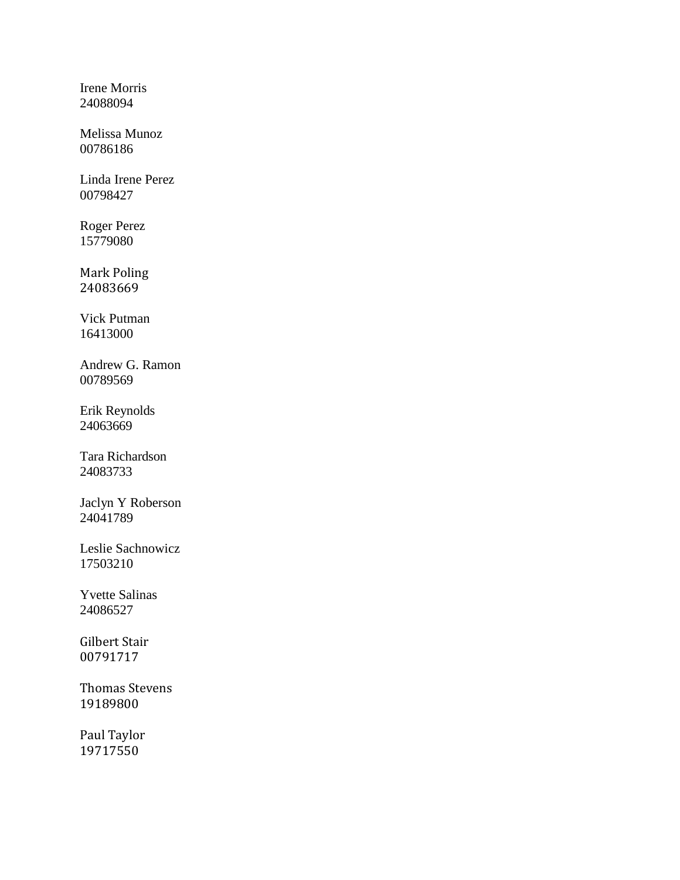Irene Morris 24088094

Melissa Munoz 00786186

Linda Irene Perez 00798427

Roger Perez 15779080

Mark Poling 24083669

Vick Putman 16413000

Andrew G. Ramon 00789569

Erik Reynolds 24063669

Tara Richardson 24083733

Jaclyn Y Roberson 24041789

Leslie Sachnowicz 17503210

Yvette Salinas 24086527

Gilbert Stair 00791717

Thomas Stevens 19189800

Paul Taylor 19717550